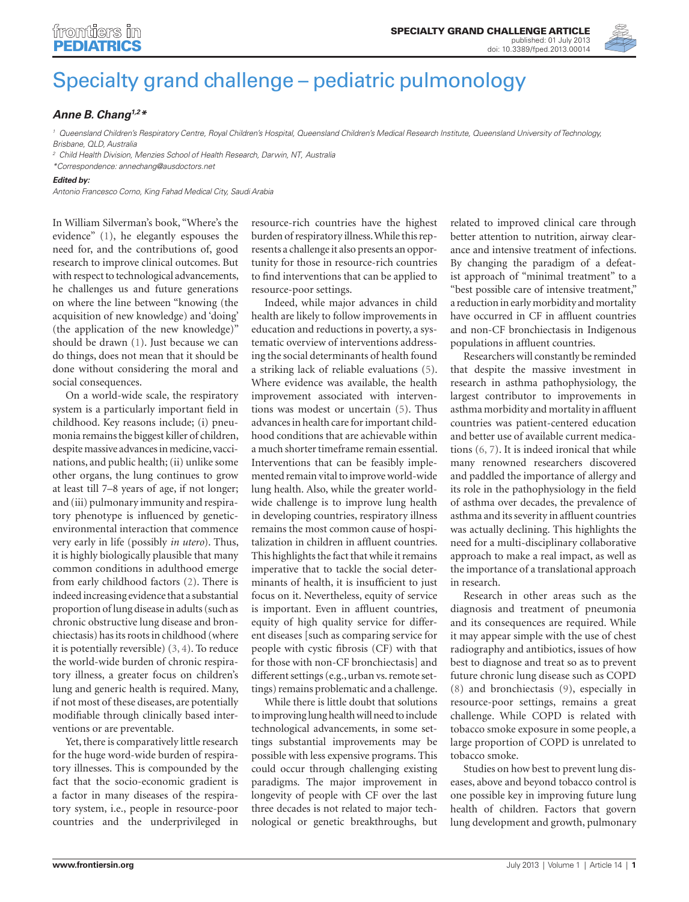

## [Specialty grand challenge – pediatric pulmonology](http://www.frontiersin.org/Pediatric_Pulmonology/10.3389/fped.2013.00014/full)

## *[Anne B. Chang](http://www.frontiersin.org/Community/WhosWhoActivity.aspx?sname=AnneChang&UID=97964)1,2\**

*<sup>1</sup> Queensland Children's Respiratory Centre, Royal Children's Hospital, Queensland Children's Medical Research Institute, Queensland University of Technology, Brisbane, QLD, Australia*

*<sup>2</sup> Child Health Division, Menzies School of Health Research, Darwin, NT, Australia*

*\*Correspondence: [annechang@ausdoctors.net](mailto:annechang@ausdoctors.net)*

## *Edited by:*

*Antonio Francesco Corno, King Fahad Medical City, Saudi Arabia*

In William Silverman's book, "Where's the evidence" (1), he elegantly espouses the need for, and the contributions of, good research to improve clinical outcomes. But with respect to technological advancements, he challenges us and future generations on where the line between "knowing (the acquisition of new knowledge) and 'doing' (the application of the new knowledge)" should be drawn (1). Just because we can do things, does not mean that it should be done without considering the moral and social consequences.

On a world-wide scale, the respiratory system is a particularly important field in childhood. Key reasons include; (i) pneumonia remains the biggest killer of children, despite massive advances in medicine, vaccinations, and public health; (ii) unlike some other organs, the lung continues to grow at least till 7–8 years of age, if not longer; and (iii) pulmonary immunity and respiratory phenotype is influenced by geneticenvironmental interaction that commence very early in life (possibly *in utero*). Thus, it is highly biologically plausible that many common conditions in adulthood emerge from early childhood factors (2). There is indeed increasing evidence that a substantial proportion of lung disease in adults (such as chronic obstructive lung disease and bronchiectasis) has its roots in childhood (where it is potentially reversible) (3, 4). To reduce the world-wide burden of chronic respiratory illness, a greater focus on children's lung and generic health is required. Many, if not most of these diseases, are potentially modifiable through clinically based interventions or are preventable.

Yet, there is comparatively little research for the huge word-wide burden of respiratory illnesses. This is compounded by the fact that the socio-economic gradient is a factor in many diseases of the respiratory system, i.e., people in resource-poor countries and the underprivileged in

resource-rich countries have the highest burden of respiratory illness. While this represents a challenge it also presents an opportunity for those in resource-rich countries to find interventions that can be applied to resource-poor settings.

Indeed, while major advances in child health are likely to follow improvements in education and reductions in poverty, a systematic overview of interventions addressing the social determinants of health found a striking lack of reliable evaluations (5). Where evidence was available, the health improvement associated with interventions was modest or uncertain (5). Thus advances in health care for important childhood conditions that are achievable within a much shorter timeframe remain essential. Interventions that can be feasibly implemented remain vital to improve world-wide lung health. Also, while the greater worldwide challenge is to improve lung health in developing countries, respiratory illness remains the most common cause of hospitalization in children in affluent countries. This highlights the fact that while it remains imperative that to tackle the social determinants of health, it is insufficient to just focus on it. Nevertheless, equity of service is important. Even in affluent countries, equity of high quality service for different diseases [such as comparing service for people with cystic fibrosis (CF) with that for those with non-CF bronchiectasis] and different settings (e.g., urban vs. remote settings) remains problematic and a challenge.

While there is little doubt that solutions to improving lung health will need to include technological advancements, in some settings substantial improvements may be possible with less expensive programs. This could occur through challenging existing paradigms. The major improvement in longevity of people with CF over the last three decades is not related to major technological or genetic breakthroughs, but related to improved clinical care through better attention to nutrition, airway clearance and intensive treatment of infections. By changing the paradigm of a defeatist approach of "minimal treatment" to a "best possible care of intensive treatment," a reduction in early morbidity and mortality have occurred in CF in affluent countries and non-CF bronchiectasis in Indigenous populations in affluent countries.

Researchers will constantly be reminded that despite the massive investment in research in asthma pathophysiology, the largest contributor to improvements in asthma morbidity and mortality in affluent countries was patient-centered education and better use of available current medications (6, 7). It is indeed ironical that while many renowned researchers discovered and paddled the importance of allergy and its role in the pathophysiology in the field of asthma over decades, the prevalence of asthma and its severity in affluent countries was actually declining. This highlights the need for a multi-disciplinary collaborative approach to make a real impact, as well as the importance of a translational approach in research.

Research in other areas such as the diagnosis and treatment of pneumonia and its consequences are required. While it may appear simple with the use of chest radiography and antibiotics, issues of how best to diagnose and treat so as to prevent future chronic lung disease such as COPD (8) and bronchiectasis (9), especially in resource-poor settings, remains a great challenge. While COPD is related with tobacco smoke exposure in some people, a large proportion of COPD is unrelated to tobacco smoke.

Studies on how best to prevent lung diseases, above and beyond tobacco control is one possible key in improving future lung health of children. Factors that govern lung development and growth, pulmonary